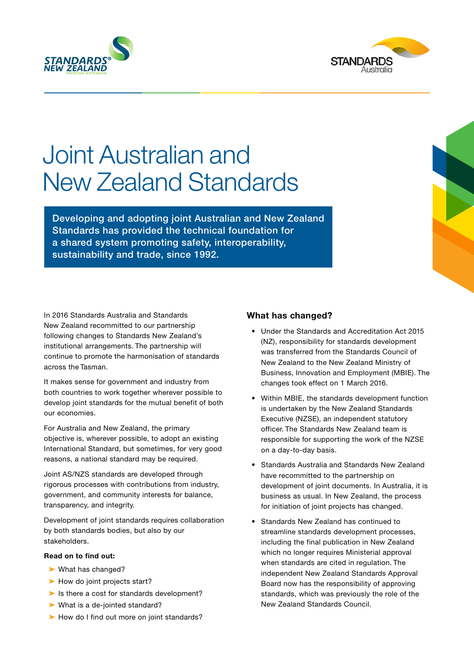



# Joint Australian and New Zealand Standards

Developing and adopting joint Australian and New Zealand Standards has provided the technical foundation for a shared system promoting safety, interoperability, sustainability and trade, since 1992.

In 2016 Standards Australia and Standards New Zealand recommitted to our partnership following changes to Standards New Zealand's institutional arrangements. The partnership will continue to promote the harmonisation of standards across the Tasman.

It makes sense for government and industry from both countries to work together wherever possible to develop joint standards for the mutual benefit of both our economies.

For Australia and New Zealand, the primary objective is, wherever possible, to adopt an existing International Standard, but sometimes, for very good reasons, a national standard may be required.

Joint AS/NZS standards are developed through rigorous processes with contributions from industry, government, and community interests for balance, transparency, and integrity.

Development of joint standards requires collaboration by both standards bodies, but also by our stakeholders.

#### **Read on to find out:**

- ➤ What has changed?
- ► [How do joint projects start?](#page-1-0)
- ► [Is there a cost for standards development?](#page-1-0)
- ➤ [What is a de-jointed standard?](#page-1-0)
- ► [How do I find out more on joint standards?](#page-1-0)

# **What has changed?**

- Under the Standards and Accreditation Act 2015 (NZ), responsibility for standards development was transferred from the Standards Council of New Zealand to the New Zealand Ministry of Business, Innovation and Employment (MBIE). The changes took effect on 1 March 2016.
- Within MBIE, the standards development function is undertaken by the New Zealand Standards Executive (NZSE), an independent statutory officer. The Standards New Zealand team is responsible for supporting the work of the NZSE on a day-to-day basis.
- Standards Australia and Standards New Zealand have recommitted to the partnership on development of joint documents. In Australia, it is business as usual. In New Zealand, the process for initiation of joint projects has changed.
- Standards New Zealand has continued to streamline standards development processes, including the final publication in New Zealand which no longer requires Ministerial approval when standards are cited in regulation. The independent New Zealand Standards Approval Board now has the responsibility of approving standards, which was previously the role of the New Zealand Standards Council.